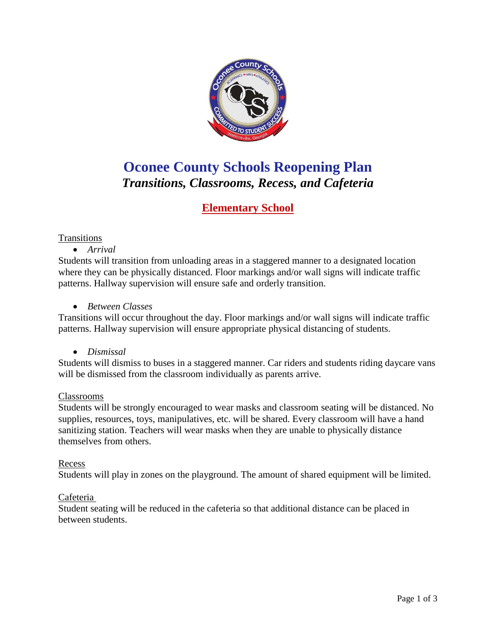

# **Oconee County Schools Reopening Plan** *Transitions, Classrooms, Recess, and Cafeteria*

# **Elementary School**

#### **Transitions**

• *Arrival*

Students will transition from unloading areas in a staggered manner to a designated location where they can be physically distanced. Floor markings and/or wall signs will indicate traffic patterns. Hallway supervision will ensure safe and orderly transition.

• *Between Classes*

Transitions will occur throughout the day. Floor markings and/or wall signs will indicate traffic patterns. Hallway supervision will ensure appropriate physical distancing of students.

• *Dismissal*

Students will dismiss to buses in a staggered manner. Car riders and students riding daycare vans will be dismissed from the classroom individually as parents arrive.

#### Classrooms

Students will be strongly encouraged to wear masks and classroom seating will be distanced. No supplies, resources, toys, manipulatives, etc. will be shared. Every classroom will have a hand sanitizing station. Teachers will wear masks when they are unable to physically distance themselves from others.

#### Recess

Students will play in zones on the playground. The amount of shared equipment will be limited.

#### Cafeteria

Student seating will be reduced in the cafeteria so that additional distance can be placed in between students.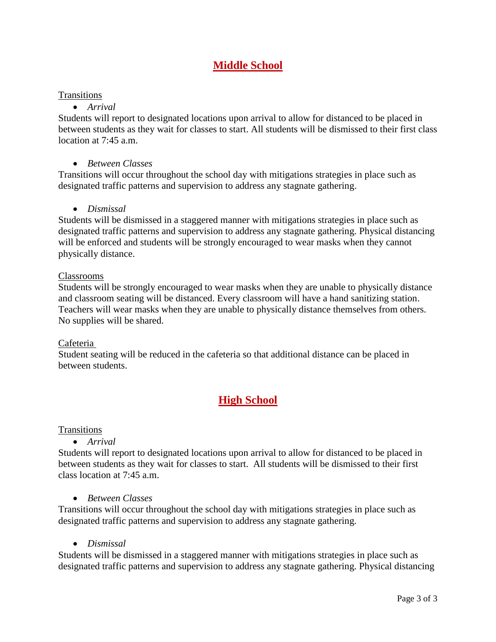### **Middle School**

#### **Transitions**

### • *Arrival*

Students will report to designated locations upon arrival to allow for distanced to be placed in between students as they wait for classes to start. All students will be dismissed to their first class location at  $7.45$  a.m.

### • *Between Classes*

Transitions will occur throughout the school day with mitigations strategies in place such as designated traffic patterns and supervision to address any stagnate gathering.

#### • *Dismissal*

Students will be dismissed in a staggered manner with mitigations strategies in place such as designated traffic patterns and supervision to address any stagnate gathering. Physical distancing will be enforced and students will be strongly encouraged to wear masks when they cannot physically distance.

#### Classrooms

Students will be strongly encouraged to wear masks when they are unable to physically distance and classroom seating will be distanced. Every classroom will have a hand sanitizing station. Teachers will wear masks when they are unable to physically distance themselves from others. No supplies will be shared.

#### Cafeteria

Student seating will be reduced in the cafeteria so that additional distance can be placed in between students.

# **High School**

#### **Transitions**

#### • *Arrival*

Students will report to designated locations upon arrival to allow for distanced to be placed in between students as they wait for classes to start. All students will be dismissed to their first class location at 7:45 a.m.

#### • *Between Classes*

Transitions will occur throughout the school day with mitigations strategies in place such as designated traffic patterns and supervision to address any stagnate gathering.

• *Dismissal*

Students will be dismissed in a staggered manner with mitigations strategies in place such as designated traffic patterns and supervision to address any stagnate gathering. Physical distancing